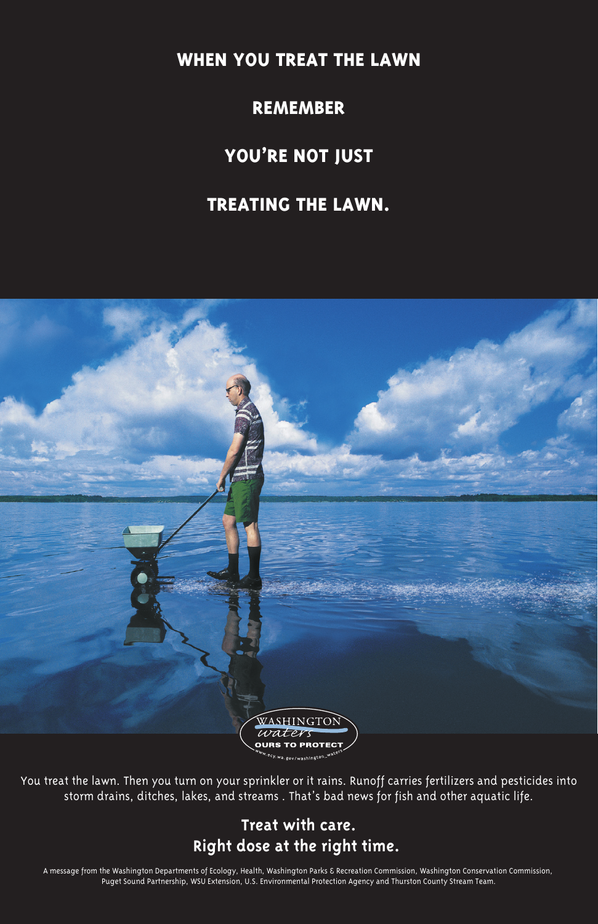**WHEN YOU TREAT THE LAWN**

**REMEMBER**

## **YOU'RE NOT JUST**

### **TREATING THE LAWN.**





You treat the lawn. Then you turn on your sprinkler or it rains. Runoff carries fertilizers and pesticides into storm drains, ditches, lakes, and streams . That's bad news for fish and other aquatic life.

### **Treat with care. Right dose at the right time.**

A message from the Washington Departments of Ecology, Health, Washington Parks & Recreation Commission, Washington Conservation Commission, Puget Sound Partnership, WSU Extension, U.S. Environmental Protection Agency and Thurston County Stream Team.